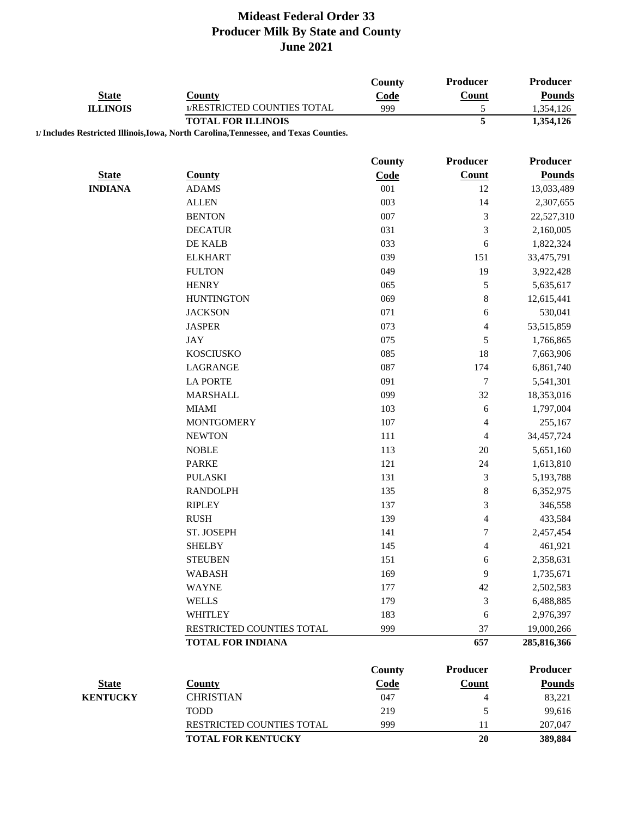|                 |                                                                                       | <b>County</b> | Producer                 | <b>Producer</b>         |
|-----------------|---------------------------------------------------------------------------------------|---------------|--------------------------|-------------------------|
| <b>State</b>    | <b>County</b>                                                                         | Code          | Count                    | <b>Pounds</b>           |
| <b>ILLINOIS</b> | 1/RESTRICTED COUNTIES TOTAL                                                           | 999           | $\mathfrak s$            | 1,354,126               |
|                 | <b>TOTAL FOR ILLINOIS</b>                                                             |               | $\overline{5}$           | 1,354,126               |
|                 | 1/ Includes Restricted Illinois, Iowa, North Carolina, Tennessee, and Texas Counties. |               |                          |                         |
|                 |                                                                                       | <b>County</b> | Producer                 | <b>Producer</b>         |
| <b>State</b>    | <b>County</b>                                                                         | Code          | <b>Count</b>             | <b>Pounds</b>           |
| <b>INDIANA</b>  | <b>ADAMS</b>                                                                          | 001           | 12                       | 13,033,489              |
|                 | <b>ALLEN</b>                                                                          | 003           | 14                       | 2,307,655               |
|                 | <b>BENTON</b>                                                                         | 007           | $\mathfrak{Z}$           | 22,527,310              |
|                 | <b>DECATUR</b>                                                                        | 031           | 3                        | 2,160,005               |
|                 | DE KALB                                                                               | 033           | 6                        |                         |
|                 | <b>ELKHART</b>                                                                        | 039           | 151                      | 1,822,324<br>33,475,791 |
|                 | <b>FULTON</b>                                                                         | 049           | 19                       | 3,922,428               |
|                 | <b>HENRY</b>                                                                          | 065           | 5                        | 5,635,617               |
|                 | <b>HUNTINGTON</b>                                                                     | 069           |                          |                         |
|                 | <b>JACKSON</b>                                                                        | 071           | $\,$ 8 $\,$              | 12,615,441<br>530,041   |
|                 | <b>JASPER</b>                                                                         |               | 6                        |                         |
|                 | <b>JAY</b>                                                                            | 073<br>075    | $\overline{\mathbf{4}}$  | 53,515,859              |
|                 | <b>KOSCIUSKO</b>                                                                      |               | 5                        | 1,766,865               |
|                 |                                                                                       | 085           | 18                       | 7,663,906               |
|                 | LAGRANGE                                                                              | 087           | 174                      | 6,861,740               |
|                 | <b>LA PORTE</b>                                                                       | 091           | $\boldsymbol{7}$         | 5,541,301               |
|                 | <b>MARSHALL</b>                                                                       | 099           | 32                       | 18,353,016              |
|                 | <b>MIAMI</b>                                                                          | 103           | 6                        | 1,797,004               |
|                 | <b>MONTGOMERY</b>                                                                     | 107           | 4                        | 255,167                 |
|                 | <b>NEWTON</b>                                                                         | 111           | 4                        | 34,457,724              |
|                 | <b>NOBLE</b>                                                                          | 113           | 20                       | 5,651,160               |
|                 | <b>PARKE</b>                                                                          | 121           | 24                       | 1,613,810               |
|                 | <b>PULASKI</b>                                                                        | 131           | 3                        | 5,193,788               |
|                 | <b>RANDOLPH</b>                                                                       | 135           | 8                        | 6,352,975               |
|                 | <b>RIPLEY</b>                                                                         | 137           | 3                        | 346,558                 |
|                 | <b>RUSH</b>                                                                           | 139           | $\overline{4}$           | 433,584                 |
|                 | ST. JOSEPH                                                                            | 141           | 7                        | 2,457,454               |
|                 | <b>SHELBY</b>                                                                         | 145           | 4                        | 461,921                 |
|                 | <b>STEUBEN</b>                                                                        | 151           | 6                        | 2,358,631               |
|                 | <b>WABASH</b>                                                                         | 169           | 9                        | 1,735,671               |
|                 | <b>WAYNE</b>                                                                          | 177           | 42                       | 2,502,583               |
|                 | <b>WELLS</b>                                                                          | 179           | $\mathfrak 3$            | 6,488,885               |
|                 | <b>WHITLEY</b>                                                                        | 183           | 6                        | 2,976,397               |
|                 | RESTRICTED COUNTIES TOTAL                                                             | 999           | 37                       | 19,000,266              |
|                 | <b>TOTAL FOR INDIANA</b>                                                              |               | 657                      | 285,816,366             |
|                 |                                                                                       | <b>County</b> | Producer                 | <b>Producer</b>         |
| <b>State</b>    | <b>County</b>                                                                         | Code          | Count                    | <b>Pounds</b>           |
| <b>KENTUCKY</b> | <b>CHRISTIAN</b>                                                                      | 047           | $\overline{\mathcal{A}}$ | 83,221                  |
|                 | <b>TODD</b>                                                                           | 219           | 5                        | 99,616                  |
|                 | RESTRICTED COUNTIES TOTAL                                                             | 999           | 11                       | 207,047                 |
|                 | <b>TOTAL FOR KENTUCKY</b>                                                             |               | $20\,$                   | 389,884                 |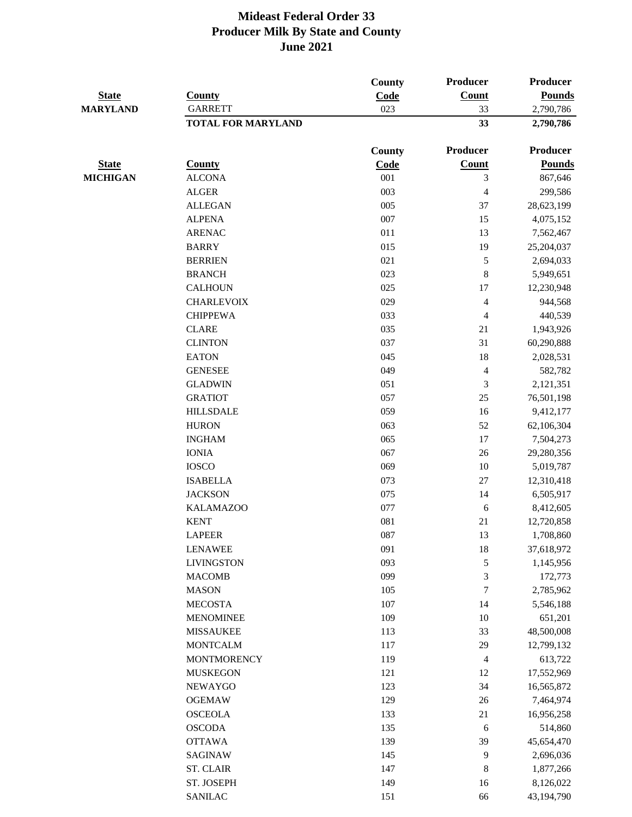| <b>State</b><br><b>MARYLAND</b> | County             | County<br>Code            | Producer<br>Count<br>33 | Producer<br><b>Pounds</b><br>2,790,786 |
|---------------------------------|--------------------|---------------------------|-------------------------|----------------------------------------|
|                                 |                    |                           |                         |                                        |
|                                 |                    | <b>TOTAL FOR MARYLAND</b> |                         |                                        |
|                                 |                    | <b>County</b>             | Producer                | <b>Producer</b>                        |
| <b>State</b>                    | <b>County</b>      | Code                      | <b>Count</b>            | <b>Pounds</b>                          |
| <b>MICHIGAN</b>                 | <b>ALCONA</b>      | 001                       | $\mathfrak{Z}$          | 867,646                                |
|                                 | <b>ALGER</b>       | 003                       | $\overline{4}$          | 299,586                                |
|                                 | <b>ALLEGAN</b>     | 005                       | 37                      | 28,623,199                             |
|                                 | <b>ALPENA</b>      | 007                       | 15                      | 4,075,152                              |
|                                 | <b>ARENAC</b>      | 011                       | 13                      | 7,562,467                              |
|                                 | <b>BARRY</b>       | 015                       | 19                      | 25,204,037                             |
|                                 | <b>BERRIEN</b>     | 021                       | 5                       | 2,694,033                              |
|                                 | <b>BRANCH</b>      | 023                       | $\,8\,$                 | 5,949,651                              |
|                                 | <b>CALHOUN</b>     | 025                       | 17                      | 12,230,948                             |
|                                 | <b>CHARLEVOIX</b>  | 029                       | $\overline{4}$          | 944,568                                |
|                                 | <b>CHIPPEWA</b>    | 033                       | $\overline{4}$          | 440,539                                |
|                                 | <b>CLARE</b>       | 035                       | 21                      | 1,943,926                              |
|                                 | <b>CLINTON</b>     | 037                       | 31                      | 60,290,888                             |
|                                 | <b>EATON</b>       | 045                       | 18                      | 2,028,531                              |
|                                 | <b>GENESEE</b>     | 049                       | $\overline{4}$          | 582,782                                |
|                                 | <b>GLADWIN</b>     | 051                       | $\mathfrak{Z}$          | 2,121,351                              |
|                                 | <b>GRATIOT</b>     | 057                       | 25                      | 76,501,198                             |
|                                 | <b>HILLSDALE</b>   | 059                       | 16                      | 9,412,177                              |
|                                 | <b>HURON</b>       | 063                       | 52                      | 62,106,304                             |
|                                 | <b>INGHAM</b>      | 065                       | 17                      | 7,504,273                              |
|                                 | <b>IONIA</b>       | 067                       | 26                      | 29,280,356                             |
|                                 | <b>IOSCO</b>       | 069                       | $10\,$                  | 5,019,787                              |
|                                 | <b>ISABELLA</b>    | 073                       | $27\,$                  | 12,310,418                             |
|                                 | <b>JACKSON</b>     | 075                       | 14                      | 6,505,917                              |
|                                 | <b>KALAMAZOO</b>   | 077                       |                         |                                        |
|                                 | <b>KENT</b>        | 081                       | 6<br>21                 | 8,412,605                              |
|                                 |                    |                           |                         | 12,720,858                             |
|                                 | <b>LAPEER</b>      | 087                       | 13                      | 1,708,860                              |
|                                 | <b>LENAWEE</b>     | 091                       | 18                      | 37,618,972                             |
|                                 | <b>LIVINGSTON</b>  | 093                       | $\sqrt{5}$              | 1,145,956                              |
|                                 | <b>MACOMB</b>      | 099                       | $\mathfrak{Z}$          | 172,773                                |
|                                 | <b>MASON</b>       | 105                       | 7                       | 2,785,962                              |
|                                 | <b>MECOSTA</b>     | 107                       | 14                      | 5,546,188                              |
|                                 | <b>MENOMINEE</b>   | 109                       | 10                      | 651,201                                |
|                                 | <b>MISSAUKEE</b>   | 113                       | 33                      | 48,500,008                             |
|                                 | <b>MONTCALM</b>    | 117                       | 29                      | 12,799,132                             |
|                                 | <b>MONTMORENCY</b> | 119                       | $\overline{4}$          | 613,722                                |
|                                 | <b>MUSKEGON</b>    | 121                       | 12                      | 17,552,969                             |
|                                 | NEWAYGO            | 123                       | 34                      | 16,565,872                             |
|                                 | <b>OGEMAW</b>      | 129                       | $26\,$                  | 7,464,974                              |
|                                 | <b>OSCEOLA</b>     | 133                       | 21                      | 16,956,258                             |
|                                 | <b>OSCODA</b>      | 135                       | $\sqrt{6}$              | 514,860                                |
|                                 | <b>OTTAWA</b>      | 139                       | 39                      | 45,654,470                             |
|                                 | <b>SAGINAW</b>     | 145                       | 9                       | 2,696,036                              |
|                                 | <b>ST. CLAIR</b>   | 147                       | 8                       | 1,877,266                              |
|                                 | ST. JOSEPH         | 149                       | 16                      | 8,126,022                              |
|                                 | <b>SANILAC</b>     | 151                       | 66                      | 43,194,790                             |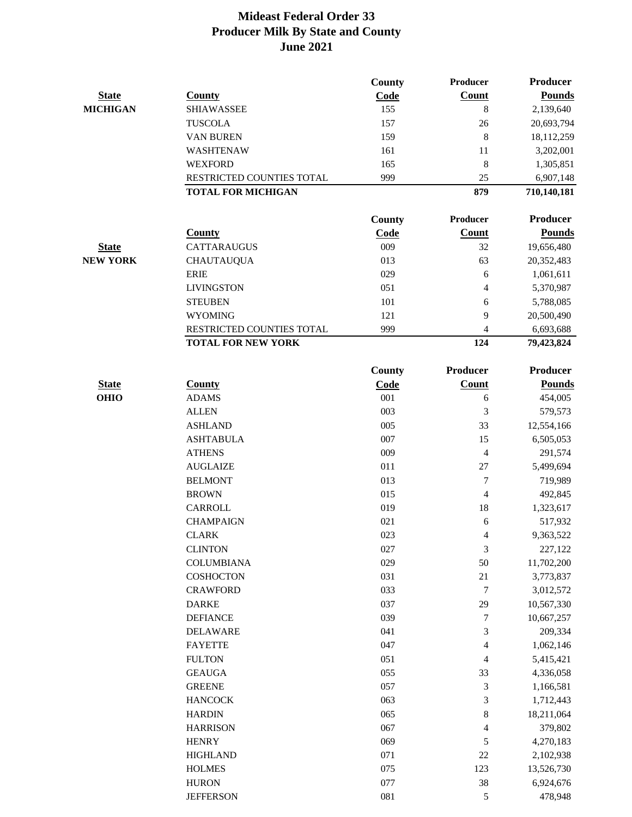|                 |                           | <b>County</b> | Producer                 | Producer        |
|-----------------|---------------------------|---------------|--------------------------|-----------------|
| <b>State</b>    | <b>County</b>             | Code          | Count                    | <b>Pounds</b>   |
| <b>MICHIGAN</b> | <b>SHIAWASSEE</b>         | 155           | $\,8\,$                  | 2,139,640       |
|                 | <b>TUSCOLA</b>            | 157           | 26                       | 20,693,794      |
|                 | VAN BUREN                 | 159           | 8                        | 18,112,259      |
|                 | WASHTENAW                 | 161           | 11                       | 3,202,001       |
|                 | <b>WEXFORD</b>            | 165           | 8                        | 1,305,851       |
|                 | RESTRICTED COUNTIES TOTAL | 999           | 25                       | 6,907,148       |
|                 | <b>TOTAL FOR MICHIGAN</b> |               | 879                      | 710,140,181     |
|                 |                           | County        | <b>Producer</b>          | <b>Producer</b> |
|                 | <b>County</b>             | Code          | <b>Count</b>             | <b>Pounds</b>   |
| <b>State</b>    | <b>CATTARAUGUS</b>        | 009           | 32                       | 19,656,480      |
| <b>NEW YORK</b> | <b>CHAUTAUQUA</b>         | 013           | 63                       | 20,352,483      |
|                 | <b>ERIE</b>               | 029           | 6                        | 1,061,611       |
|                 | <b>LIVINGSTON</b>         | 051           | $\overline{\mathcal{L}}$ | 5,370,987       |
|                 | <b>STEUBEN</b>            | 101           | 6                        | 5,788,085       |
|                 | <b>WYOMING</b>            | 121           | 9                        | 20,500,490      |
|                 | RESTRICTED COUNTIES TOTAL | 999           | $\overline{4}$           | 6,693,688       |
|                 | <b>TOTAL FOR NEW YORK</b> |               | 124                      | 79,423,824      |
|                 |                           | <b>County</b> | Producer                 | <b>Producer</b> |
| <b>State</b>    | <b>County</b>             | Code          | <b>Count</b>             | <b>Pounds</b>   |
| <b>OHIO</b>     | <b>ADAMS</b>              | 001           | 6                        | 454,005         |
|                 | <b>ALLEN</b>              | 003           | 3                        | 579,573         |
|                 | <b>ASHLAND</b>            | 005           | 33                       | 12,554,166      |
|                 | <b>ASHTABULA</b>          | 007           | 15                       | 6,505,053       |
|                 | <b>ATHENS</b>             | 009           | $\overline{4}$           | 291,574         |
|                 | <b>AUGLAIZE</b>           | 011           | 27                       | 5,499,694       |
|                 | <b>BELMONT</b>            | 013           | 7                        | 719,989         |
|                 | <b>BROWN</b>              | 015           | $\overline{4}$           | 492,845         |
|                 | <b>CARROLL</b>            | 019           | 18                       | 1,323,617       |
|                 | <b>CHAMPAIGN</b>          | 021           | 6                        | 517,932         |
|                 | <b>CLARK</b>              | 023           | $\overline{4}$           | 9,363,522       |
|                 | <b>CLINTON</b>            | 027           | 3                        | 227,122         |
|                 | <b>COLUMBIANA</b>         | 029           | 50                       | 11,702,200      |
|                 | <b>COSHOCTON</b>          | 031           | $21\,$                   | 3,773,837       |
|                 | <b>CRAWFORD</b>           | 033           | 7                        | 3,012,572       |
|                 | <b>DARKE</b>              | 037           | 29                       | 10,567,330      |
|                 | <b>DEFIANCE</b>           | 039           | 7                        | 10,667,257      |
|                 | <b>DELAWARE</b>           | 041           | 3                        | 209,334         |
|                 | <b>FAYETTE</b>            | 047           | 4                        | 1,062,146       |
|                 | <b>FULTON</b>             | 051           | 4                        | 5,415,421       |
|                 | <b>GEAUGA</b>             | 055           | 33                       | 4,336,058       |
|                 | <b>GREENE</b>             | 057           | 3                        | 1,166,581       |
|                 | <b>HANCOCK</b>            | 063           | 3                        | 1,712,443       |
|                 | <b>HARDIN</b>             | 065           | $\,8$                    | 18,211,064      |
|                 | <b>HARRISON</b>           | 067           | 4                        | 379,802         |
|                 | <b>HENRY</b>              | 069           | 5                        | 4,270,183       |
|                 | <b>HIGHLAND</b>           | 071           | $22\,$                   | 2,102,938       |
|                 | <b>HOLMES</b>             | 075           | 123                      | 13,526,730      |
|                 | <b>HURON</b>              | 077           | 38                       | 6,924,676       |
|                 | <b>JEFFERSON</b>          | 081           | $\sqrt{5}$               | 478,948         |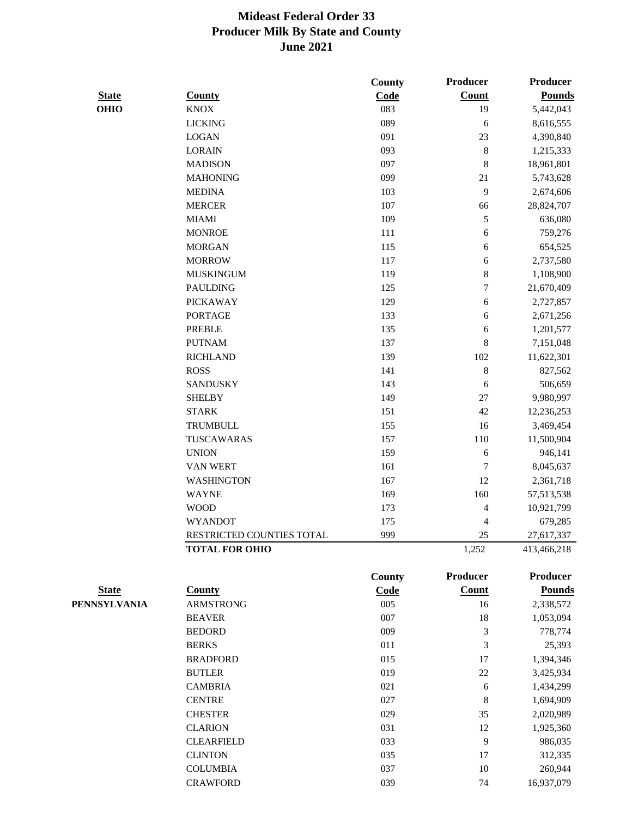|              |                           | County | Producer         | <b>Producer</b> |
|--------------|---------------------------|--------|------------------|-----------------|
| <b>State</b> | <b>County</b>             | Code   | Count            | <b>Pounds</b>   |
| <b>OHIO</b>  | <b>KNOX</b>               | 083    | 19               | 5,442,043       |
|              | <b>LICKING</b>            | 089    | 6                | 8,616,555       |
|              | <b>LOGAN</b>              | 091    | 23               | 4,390,840       |
|              | <b>LORAIN</b>             | 093    | $\,$ 8 $\,$      | 1,215,333       |
|              | <b>MADISON</b>            | 097    | 8                | 18,961,801      |
|              | <b>MAHONING</b>           | 099    | 21               | 5,743,628       |
|              | <b>MEDINA</b>             | 103    | 9                | 2,674,606       |
|              | <b>MERCER</b>             | 107    | 66               | 28,824,707      |
|              | <b>MIAMI</b>              | 109    | 5                | 636,080         |
|              | <b>MONROE</b>             | 111    | 6                | 759,276         |
|              | <b>MORGAN</b>             | 115    | 6                | 654,525         |
|              | <b>MORROW</b>             | 117    | 6                | 2,737,580       |
|              | <b>MUSKINGUM</b>          | 119    | $\,$ 8 $\,$      | 1,108,900       |
|              | <b>PAULDING</b>           | 125    | $\boldsymbol{7}$ | 21,670,409      |
|              | <b>PICKAWAY</b>           | 129    | 6                | 2,727,857       |
|              | <b>PORTAGE</b>            | 133    | 6                | 2,671,256       |
|              | <b>PREBLE</b>             | 135    | 6                | 1,201,577       |
|              | <b>PUTNAM</b>             | 137    | 8                | 7,151,048       |
|              | <b>RICHLAND</b>           | 139    | 102              | 11,622,301      |
|              | <b>ROSS</b>               | 141    | $\,$ 8 $\,$      | 827,562         |
|              | <b>SANDUSKY</b>           | 143    | 6                | 506,659         |
|              | <b>SHELBY</b>             | 149    | $27\,$           | 9,980,997       |
|              | <b>STARK</b>              | 151    | $42\,$           | 12,236,253      |
|              | <b>TRUMBULL</b>           | 155    | 16               | 3,469,454       |
|              | TUSCAWARAS                | 157    | 110              | 11,500,904      |
|              | <b>UNION</b>              | 159    | 6                | 946,141         |
|              | <b>VAN WERT</b>           | 161    | 7                | 8,045,637       |
|              | <b>WASHINGTON</b>         | 167    | 12               | 2,361,718       |
|              | <b>WAYNE</b>              | 169    | 160              | 57, 513, 538    |
|              | <b>WOOD</b>               | 173    | 4                | 10,921,799      |
|              | <b>WYANDOT</b>            | 175    | 4                | 679,285         |
|              | RESTRICTED COUNTIES TOTAL | 999    | $25\,$           | 27,617,337      |
|              | <b>TOTAL FOR OHIO</b>     |        | 1,252            | 413,466,218     |
|              |                           | County | <b>Producer</b>  | Producer        |
| <b>State</b> | <b>County</b>             | Code   | Count            | <b>Pounds</b>   |
| PENNSYLVANIA | <b>ARMSTRONG</b>          | 005    | 16               | 2,338,572       |
|              | <b>BEAVER</b>             | 007    | 18               | 1,053,094       |
|              | <b>BEDORD</b>             | 009    | 3                | 778,774         |
|              | <b>BERKS</b>              | 011    | 3                | 25,393          |
|              | <b>BRADFORD</b>           | 015    | 17               | 1,394,346       |
|              | <b>BUTLER</b>             | 019    | 22               | 3,425,934       |
|              | <b>CAMBRIA</b>            | 021    | 6                | 1,434,299       |
|              | <b>CENTRE</b>             | 027    | 8                | 1,694,909       |
|              | <b>CHESTER</b>            | 029    | 35               | 2,020,989       |
|              | <b>CLARION</b>            | 031    | 12               | 1,925,360       |
|              | <b>CLEARFIELD</b>         | 033    | $\overline{9}$   | 986,035         |
|              | <b>CLINTON</b>            | 035    | 17               | 312,335         |
|              | <b>COLUMBIA</b>           | 037    | $10\,$           | 260,944         |

CRAWFORD 039 74 16,937,079